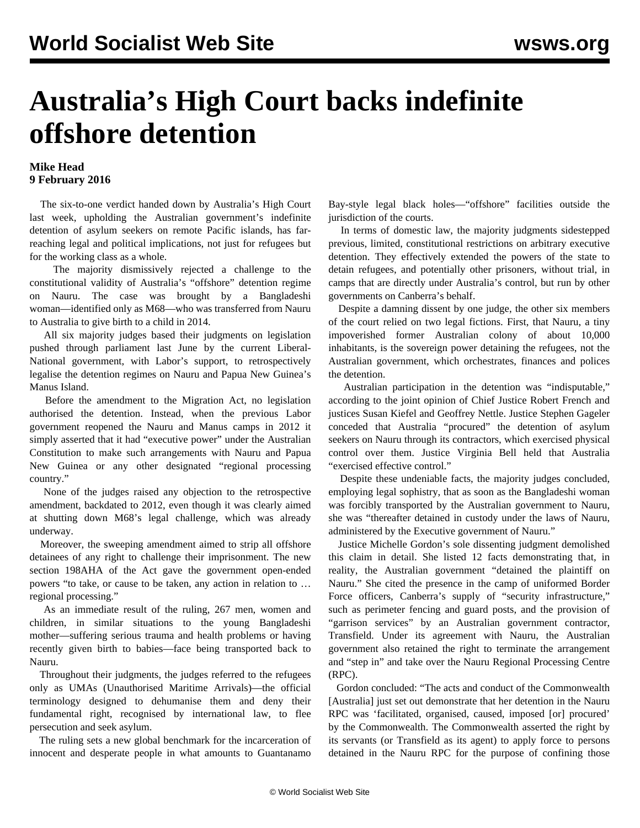## **Australia's High Court backs indefinite offshore detention**

## **Mike Head 9 February 2016**

 The six-to-one verdict handed down by Australia's High Court last week, [upholding](/en/articles/2016/02/04/aust-f04.html) the Australian government's indefinite detention of asylum seekers on remote Pacific islands, has farreaching legal and political implications, not just for refugees but for the working class as a whole.

 The majority dismissively rejected a challenge to the constitutional validity of Australia's "offshore" detention regime on Nauru. The case was brought by a Bangladeshi woman—identified only as M68—who was transferred from Nauru to Australia to give birth to a child in 2014.

 All six majority judges based their judgments on legislation pushed through parliament last June by the current Liberal-National government, with Labor's support, to retrospectively legalise the detention regimes on Nauru and Papua New Guinea's Manus Island.

 Before the amendment to the Migration Act, no legislation authorised the detention. Instead, when the previous Labor government reopened the Nauru and Manus camps in 2012 it simply asserted that it had "executive power" under the Australian Constitution to make such arrangements with Nauru and Papua New Guinea or any other designated "regional processing country."

 None of the judges raised any objection to the retrospective amendment, backdated to 2012, even though it was clearly aimed at shutting down M68's legal challenge, which was already underway.

 Moreover, the sweeping amendment aimed to strip all offshore detainees of any right to challenge their imprisonment. The new section 198AHA of the Act gave the government open-ended powers "to take, or cause to be taken, any action in relation to … regional processing."

 As an immediate result of the ruling, 267 men, women and children, in similar situations to the young Bangladeshi mother—suffering serious trauma and health problems or having recently given birth to babies—face being transported back to Nauru.

 Throughout their judgments, the judges referred to the refugees only as UMAs (Unauthorised Maritime Arrivals)—the official terminology designed to dehumanise them and deny their fundamental right, recognised by international law, to flee persecution and seek asylum.

 The ruling sets a new global benchmark for the incarceration of innocent and desperate people in what amounts to Guantanamo Bay-style legal black holes—"offshore" facilities outside the jurisdiction of the courts.

 In terms of domestic law, the majority judgments sidestepped previous, limited, constitutional restrictions on arbitrary executive detention. They effectively extended the powers of the state to detain refugees, and potentially other prisoners, without trial, in camps that are directly under Australia's control, but run by other governments on Canberra's behalf.

 Despite a damning dissent by one judge, the other six members of the court relied on two legal fictions. First, that Nauru, a tiny impoverished former Australian colony of about 10,000 inhabitants, is the sovereign power detaining the refugees, not the Australian government, which orchestrates, finances and polices the detention.

 Australian participation in the detention was "indisputable," according to the joint opinion of Chief Justice Robert French and justices Susan Kiefel and Geoffrey Nettle. Justice Stephen Gageler conceded that Australia "procured" the detention of asylum seekers on Nauru through its contractors, which exercised physical control over them. Justice Virginia Bell held that Australia "exercised effective control."

 Despite these undeniable facts, the majority judges concluded, employing legal sophistry, that as soon as the Bangladeshi woman was forcibly transported by the Australian government to Nauru, she was "thereafter detained in custody under the laws of Nauru, administered by the Executive government of Nauru."

 Justice Michelle Gordon's sole dissenting judgment demolished this claim in detail. She listed 12 facts demonstrating that, in reality, the Australian government "detained the plaintiff on Nauru." She cited the presence in the camp of uniformed Border Force officers, Canberra's supply of "security infrastructure," such as perimeter fencing and guard posts, and the provision of "garrison services" by an Australian government contractor, Transfield. Under its agreement with Nauru, the Australian government also retained the right to terminate the arrangement and "step in" and take over the Nauru Regional Processing Centre (RPC).

 Gordon concluded: "The acts and conduct of the Commonwealth [Australia] just set out demonstrate that her detention in the Nauru RPC was 'facilitated, organised, caused, imposed [or] procured' by the Commonwealth. The Commonwealth asserted the right by its servants (or Transfield as its agent) to apply force to persons detained in the Nauru RPC for the purpose of confining those